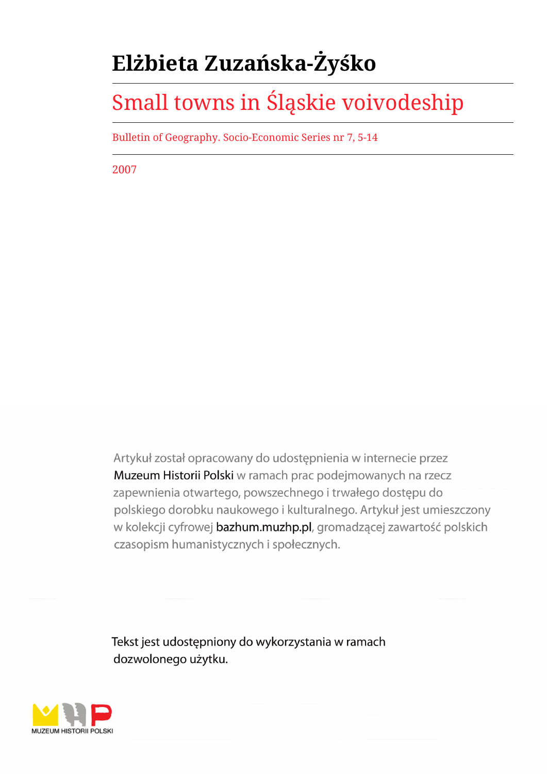# **Elżbieta Zuzańska-Żyśko**

# Small towns in Śląskie voivodeship

Bulletin of Geography. Socio-Economic Series nr 7, 5-14

2007

Artykuł został opracowany do udostępnienia w internecie przez Muzeum Historii Polski w ramach prac podejmowanych na rzecz zapewnienia otwartego, powszechnego i trwałego dostępu do polskiego dorobku naukowego i kulturalnego. Artykuł jest umieszczony w kolekcji cyfrowej bazhum.muzhp.pl, gromadzącej zawartość polskich czasopism humanistycznych i społecznych.

Tekst jest udostępniony do wykorzystania w ramach dozwolonego użytku.

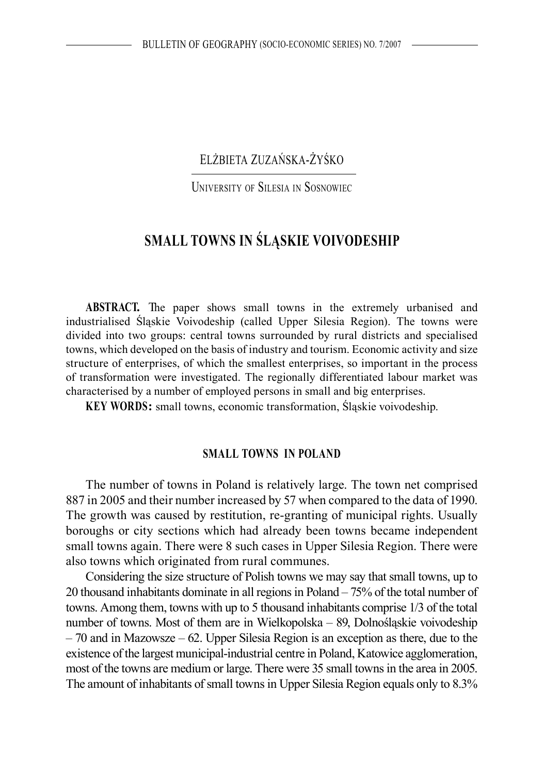# ELŻBIETA ZUZAŃSKA-ŻYŚKO

UNIVERSITY OF SILESIA IN SOSNOWIEC

# **SMALL TOWNS IN ŚLĄSKIE VOIVODESHIP**

**ABSTRACT.** The paper shows small towns in the extremely urbanised and industrialised Śląskie Voivodeship (called Upper Silesia Region). The towns were divided into two groups: central towns surrounded by rural districts and specialised towns, which developed on the basis of industry and tourism. Economic activity and size structure of enterprises, of which the smallest enterprises, so important in the process of transformation were investigated. The regionally differentiated labour market was characterised by a number of employed persons in small and big enterprises.

**KEY WORDS:** small towns, economic transformation, Śląskie voivodeship.

#### **SMALL TOWNS IN POLAND**

The number of towns in Poland is relatively large. The town net comprised 887 in 2005 and their number increased by 57 when compared to the data of 1990. The growth was caused by restitution, re-granting of municipal rights. Usually boroughs or city sections which had already been towns became independent small towns again. There were 8 such cases in Upper Silesia Region. There were also towns which originated from rural communes.

Considering the size structure of Polish towns we may say that small towns, up to 20 thousand inhabitants dominate in all regions in Poland – 75% of the total number of towns. Among them, towns with up to 5 thousand inhabitants comprise 1/3 of the total number of towns. Most of them are in Wielkopolska – 89, Dolnośląskie voivodeship – 70 and in Mazowsze – 62. Upper Silesia Region is an exception as there, due to the existence of the largest municipal-industrial centre in Poland, Katowice agglomeration, most of the towns are medium or large. There were 35 small towns in the area in 2005. The amount of inhabitants of small towns in Upper Silesia Region equals only to 8.3%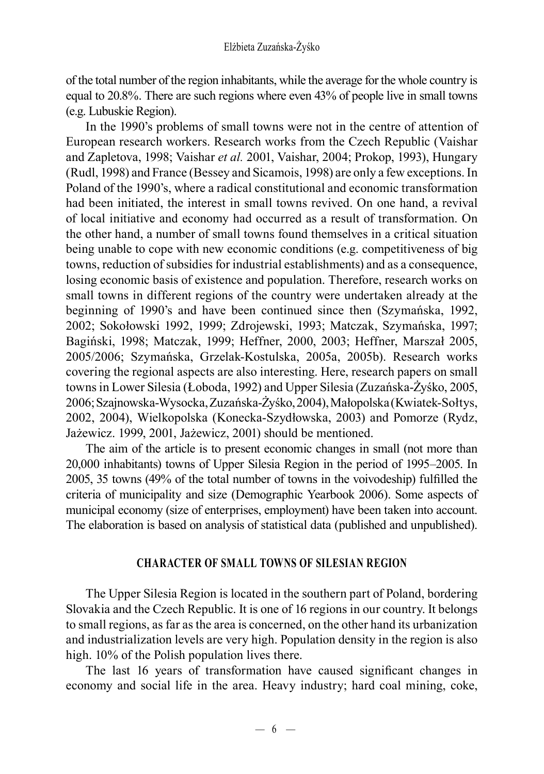of the total number of the region inhabitants, while the average for the whole country is equal to 20.8%. There are such regions where even 43% of people live in small towns (e.g. Lubuskie Region).

In the 1990's problems of small towns were not in the centre of attention of European research workers. Research works from the Czech Republic (Vaishar and Zapletova, 1998; Vaishar *et al.* 2001, Vaishar, 2004; Prokop, 1993), Hungary (Rudl, 1998) and France (Bessey and Sicamois, 1998) are only a few exceptions. In Poland of the 1990's, where a radical constitutional and economic transformation had been initiated, the interest in small towns revived. On one hand, a revival of local initiative and economy had occurred as a result of transformation. On the other hand, a number of small towns found themselves in a critical situation being unable to cope with new economic conditions (e.g. competitiveness of big towns, reduction of subsidies for industrial establishments) and as a consequence, losing economic basis of existence and population. Therefore, research works on small towns in different regions of the country were undertaken already at the beginning of 1990's and have been continued since then (Szymańska, 1992, 2002; Sokołowski 1992, 1999; Zdrojewski, 1993; Matczak, Szymańska, 1997; Bagiński, 1998; Matczak, 1999; Heffner, 2000, 2003; Heffner, Marszał 2005, 2005/2006; Szymańska, Grzelak-Kostulska, 2005a, 2005b). Research works covering the regional aspects are also interesting. Here, research papers on small towns in Lower Silesia (Łoboda, 1992) and Upper Silesia (Zuzańska-Żyśko, 2005, 2006; Szajnowska-Wysocka, Zuzańska-Żyśko, 2004), Małopolska (Kwiatek-Sołtys, 2002, 2004), Wielkopolska (Konecka-Szydłowska, 2003) and Pomorze (Rydz, Jażewicz. 1999, 2001, Jażewicz, 2001) should be mentioned.

The aim of the article is to present economic changes in small (not more than 20,000 inhabitants) towns of Upper Silesia Region in the period of 1995–2005. In 2005, 35 towns (49% of the total number of towns in the voivodeship) fulfilled the criteria of municipality and size (Demographic Yearbook 2006). Some aspects of municipal economy (size of enterprises, employment) have been taken into account. The elaboration is based on analysis of statistical data (published and unpublished).

#### **CHARACTER OF SMALL TOWNS OF SILESIAN REGION**

The Upper Silesia Region is located in the southern part of Poland, bordering Slovakia and the Czech Republic. It is one of 16 regions in our country. It belongs to small regions, as far as the area is concerned, on the other hand its urbanization and industrialization levels are very high. Population density in the region is also high. 10% of the Polish population lives there.

The last 16 years of transformation have caused significant changes in economy and social life in the area. Heavy industry; hard coal mining, coke,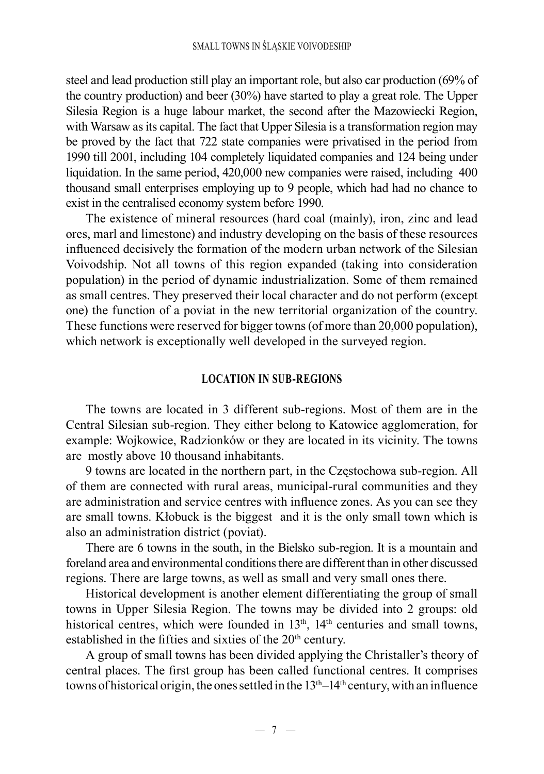steel and lead production still play an important role, but also car production (69% of the country production) and beer (30%) have started to play a great role. The Upper Silesia Region is a huge labour market, the second after the Mazowiecki Region, with Warsaw as its capital. The fact that Upper Silesia is a transformation region may be proved by the fact that 722 state companies were privatised in the period from 1990 till 2001, including 104 completely liquidated companies and 124 being under liquidation. In the same period, 420,000 new companies were raised, including 400 thousand small enterprises employing up to 9 people, which had had no chance to exist in the centralised economy system before 1990.

The existence of mineral resources (hard coal (mainly), iron, zinc and lead ores, marl and limestone) and industry developing on the basis of these resources influenced decisively the formation of the modern urban network of the Silesian Voivodship. Not all towns of this region expanded (taking into consideration population) in the period of dynamic industrialization. Some of them remained as small centres. They preserved their local character and do not perform (except one) the function of a poviat in the new territorial organization of the country. These functions were reserved for bigger towns (of more than 20,000 population), which network is exceptionally well developed in the surveyed region.

### **LOCATION IN SUB-REGIONS**

The towns are located in 3 different sub-regions. Most of them are in the Central Silesian sub-region. They either belong to Katowice agglomeration, for example: Wojkowice, Radzionków or they are located in its vicinity. The towns are mostly above 10 thousand inhabitants.

9 towns are located in the northern part, in the Częstochowa sub-region. All of them are connected with rural areas, municipal-rural communities and they are administration and service centres with influence zones. As you can see they are small towns. Kłobuck is the biggest and it is the only small town which is also an administration district (poviat).

There are 6 towns in the south, in the Bielsko sub-region. It is a mountain and foreland area and environmental conditions there are different than in other discussed regions. There are large towns, as well as small and very small ones there.

Historical development is another element differentiating the group of small towns in Upper Silesia Region. The towns may be divided into 2 groups: old historical centres, which were founded in  $13<sup>th</sup>$ ,  $14<sup>th</sup>$  centuries and small towns, established in the fifties and sixties of the 20<sup>th</sup> century.

A group of small towns has been divided applying the Christaller's theory of central places. The first group has been called functional centres. It comprises towns of historical origin, the ones settled in the  $13<sup>th</sup>-14<sup>th</sup>$  century, with an influence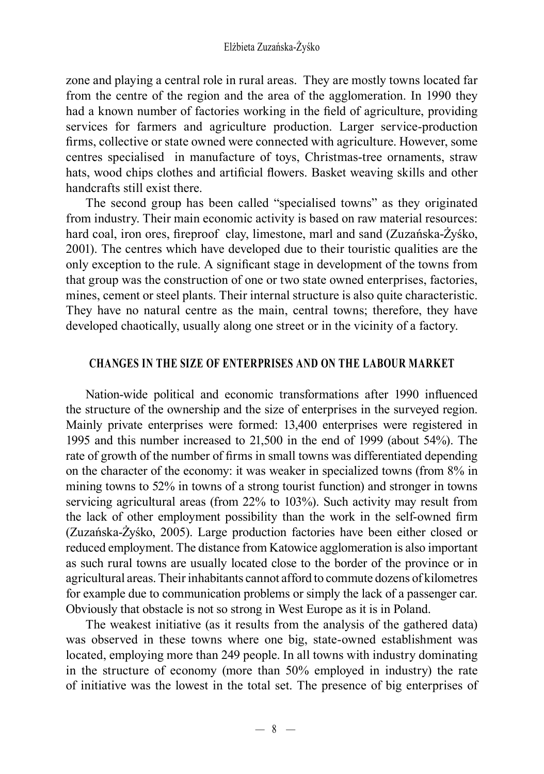zone and playing a central role in rural areas. They are mostly towns located far from the centre of the region and the area of the agglomeration. In 1990 they had a known number of factories working in the field of agriculture, providing services for farmers and agriculture production. Larger service-production firms, collective or state owned were connected with agriculture. However, some centres specialised in manufacture of toys, Christmas-tree ornaments, straw hats, wood chips clothes and artificial flowers. Basket weaving skills and other handcrafts still exist there.

The second group has been called "specialised towns" as they originated from industry. Their main economic activity is based on raw material resources: hard coal, iron ores, fireproof clay, limestone, marl and sand (Zuzańska-Żyśko, 2001). The centres which have developed due to their touristic qualities are the only exception to the rule. A significant stage in development of the towns from that group was the construction of one or two state owned enterprises, factories, mines, cement or steel plants. Their internal structure is also quite characteristic. They have no natural centre as the main, central towns; therefore, they have developed chaotically, usually along one street or in the vicinity of a factory.

# **CHANGES IN THE SIZE OF ENTERPRISES AND ON THE LABOUR MARKET**

Nation-wide political and economic transformations after 1990 influenced the structure of the ownership and the size of enterprises in the surveyed region. Mainly private enterprises were formed: 13,400 enterprises were registered in 1995 and this number increased to 21,500 in the end of 1999 (about 54%). The rate of growth of the number of firms in small towns was differentiated depending on the character of the economy: it was weaker in specialized towns (from 8% in mining towns to 52% in towns of a strong tourist function) and stronger in towns servicing agricultural areas (from 22% to 103%). Such activity may result from the lack of other employment possibility than the work in the self-owned firm (Zuzańska-Żyśko, 2005). Large production factories have been either closed or reduced employment. The distance from Katowice agglomeration is also important as such rural towns are usually located close to the border of the province or in agricultural areas. Their inhabitants cannot afford to commute dozens of kilometres for example due to communication problems or simply the lack of a passenger car. Obviously that obstacle is not so strong in West Europe as it is in Poland.

The weakest initiative (as it results from the analysis of the gathered data) was observed in these towns where one big, state-owned establishment was located, employing more than 249 people. In all towns with industry dominating in the structure of economy (more than 50% employed in industry) the rate of initiative was the lowest in the total set. The presence of big enterprises of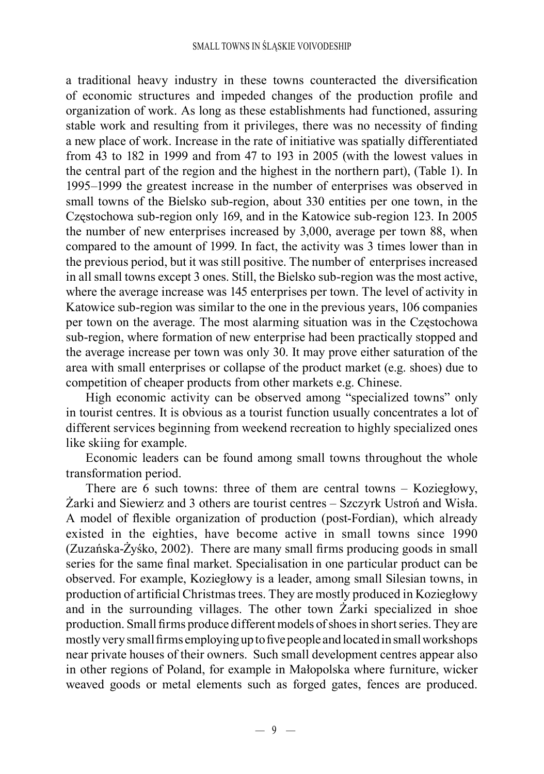a traditional heavy industry in these towns counteracted the diversification of economic structures and impeded changes of the production profile and organization of work. As long as these establishments had functioned, assuring stable work and resulting from it privileges, there was no necessity of finding a new place of work. Increase in the rate of initiative was spatially differentiated from 43 to 182 in 1999 and from 47 to 193 in 2005 (with the lowest values in the central part of the region and the highest in the northern part), (Table 1). In 1995–1999 the greatest increase in the number of enterprises was observed in small towns of the Bielsko sub-region, about 330 entities per one town, in the Częstochowa sub-region only 169, and in the Katowice sub-region 123. In 2005 the number of new enterprises increased by 3,000, average per town 88, when compared to the amount of 1999. In fact, the activity was 3 times lower than in the previous period, but it was still positive. The number of enterprises increased in all small towns except 3 ones. Still, the Bielsko sub-region was the most active, where the average increase was 145 enterprises per town. The level of activity in Katowice sub-region was similar to the one in the previous years, 106 companies per town on the average. The most alarming situation was in the Częstochowa sub-region, where formation of new enterprise had been practically stopped and the average increase per town was only 30. It may prove either saturation of the area with small enterprises or collapse of the product market (e.g. shoes) due to competition of cheaper products from other markets e.g. Chinese.

High economic activity can be observed among "specialized towns" only in tourist centres. It is obvious as a tourist function usually concentrates a lot of different services beginning from weekend recreation to highly specialized ones like skiing for example.

Economic leaders can be found among small towns throughout the whole transformation period.

There are 6 such towns: three of them are central towns – Koziegłowy, Żarki and Siewierz and 3 others are tourist centres – Szczyrk Ustroń and Wisła. A model of flexible organization of production (post-Fordian), which already existed in the eighties, have become active in small towns since 1990 (Zuzańska-Żyśko, 2002). There are many small firms producing goods in small series for the same final market. Specialisation in one particular product can be observed. For example, Koziegłowy is a leader, among small Silesian towns, in production of artificial Christmas trees. They are mostly produced in Koziegłowy and in the surrounding villages. The other town Żarki specialized in shoe production. Small firms produce different models of shoes in short series. They are mostly very small firms employing up to five people and located in small workshops near private houses of their owners. Such small development centres appear also in other regions of Poland, for example in Małopolska where furniture, wicker weaved goods or metal elements such as forged gates, fences are produced.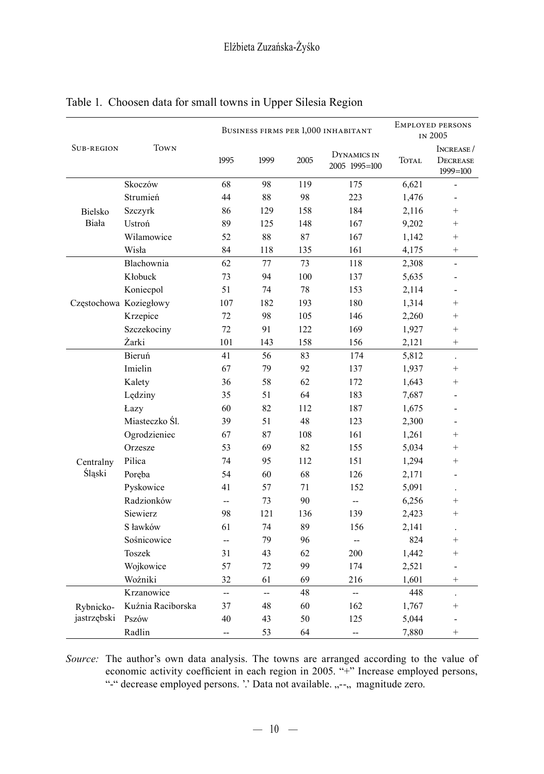|                          | <b>TOWN</b>       | BUSINESS FIRMS PER 1,000 INHABITANT |      |      |                              | <b>EMPLOYED PERSONS</b><br>IN 2005 |                                       |
|--------------------------|-------------------|-------------------------------------|------|------|------------------------------|------------------------------------|---------------------------------------|
| <b>SUB-REGION</b>        |                   | 1995                                | 1999 | 2005 | DYNAMICS IN<br>2005 1995=100 | TOTAL                              | INCREASE/<br>DECREASE<br>$1999 = 100$ |
| <b>Bielsko</b><br>Biała  | Skoczów           | 68                                  | 98   | 119  | 175                          | 6,621                              |                                       |
|                          | Strumień          | 44                                  | 88   | 98   | 223                          | 1,476                              | L,                                    |
|                          | Szczyrk           | 86                                  | 129  | 158  | 184                          | 2,116                              | $\qquad \qquad +$                     |
|                          | Ustroń            | 89                                  | 125  | 148  | 167                          | 9,202                              | $\qquad \qquad +$                     |
|                          | Wilamowice        | 52                                  | 88   | 87   | 167                          | 1,142                              | $\qquad \qquad +$                     |
|                          | Wisła             | 84                                  | 118  | 135  | 161                          | 4,175                              | $\qquad \qquad +$                     |
| Częstochowa Koziegłowy   | Blachownia        | 62                                  | 77   | 73   | 118                          | 2,308                              | $\overline{a}$                        |
|                          | Kłobuck           | 73                                  | 94   | 100  | 137                          | 5,635                              |                                       |
|                          | Koniecpol         | 51                                  | 74   | 78   | 153                          | 2,114                              |                                       |
|                          |                   | 107                                 | 182  | 193  | 180                          | 1,314                              | $^{+}$                                |
|                          | Krzepice          | 72                                  | 98   | 105  | 146                          | 2,260                              | $^{+}$                                |
|                          | Szczekociny       | 72                                  | 91   | 122  | 169                          | 1,927                              | $^{+}$                                |
|                          | Żarki             | 101                                 | 143  | 158  | 156                          | 2,121                              | $^{+}$                                |
| Centralny<br>Śląski      | Bieruń            | 41                                  | 56   | 83   | 174                          | 5,812                              | $\ddot{\phantom{a}}$                  |
|                          | Imielin           | 67                                  | 79   | 92   | 137                          | 1,937                              | $\qquad \qquad +$                     |
|                          | Kalety            | 36                                  | 58   | 62   | 172                          | 1,643                              | $^{+}$                                |
|                          | Lędziny           | 35                                  | 51   | 64   | 183                          | 7,687                              |                                       |
|                          | Łazy              | 60                                  | 82   | 112  | 187                          | 1,675                              |                                       |
|                          | Miasteczko Śl.    | 39                                  | 51   | 48   | 123                          | 2,300                              | ÷                                     |
|                          | Ogrodzieniec      | 67                                  | 87   | 108  | 161                          | 1,261                              | $^{+}$                                |
|                          | Orzesze           | 53                                  | 69   | 82   | 155                          | 5,034                              | $^{+}$                                |
|                          | Pilica            | 74                                  | 95   | 112  | 151                          | 1,294                              | $^{+}$                                |
|                          | Poreba            | 54                                  | 60   | 68   | 126                          | 2,171                              |                                       |
|                          | Pyskowice         | 41                                  | 57   | 71   | 152                          | 5,091                              |                                       |
|                          | Radzionków        | $\overline{\phantom{a}}$            | 73   | 90   | ÷.,                          | 6,256                              | $^{+}$                                |
|                          | <b>Siewierz</b>   | 98                                  | 121  | 136  | 139                          | 2,423                              | $^{+}$                                |
|                          | S ławków          | 61                                  | 74   | 89   | 156                          | 2,141                              |                                       |
|                          | Sośnicowice       | --                                  | 79   | 96   | --                           | 824                                | $^{+}$                                |
|                          | Toszek            | 31                                  | 43   | 62   | 200                          | 1,442                              | $^{+}$                                |
|                          | Wojkowice         | 57                                  | 72   | 99   | 174                          | 2,521                              | $\overline{a}$                        |
|                          | Woźniki           | 32                                  | 61   | 69   | 216                          | 1,601                              | $^{+}$                                |
| Rybnicko-<br>jastrzębski | Krzanowice        | ÷,                                  | --   | 48   | ц,                           | 448                                | $\overline{a}$                        |
|                          | Kuźnia Raciborska | 37                                  | 48   | 60   | 162                          | 1,767                              | $^{+}$                                |
|                          | Pszów             | 40                                  | 43   | 50   | 125                          | 5,044                              |                                       |
|                          | Radlin            | --                                  | 53   | 64   | --                           | 7,880                              | $^{+}$                                |

# Table 1. Choosen data for small towns in Upper Silesia Region

*Source:* The author's own data analysis. The towns are arranged according to the value of economic activity coefficient in each region in 2005. "+" Increase employed persons, "-" decrease employed persons. '.' Data not available. .,--,, magnitude zero.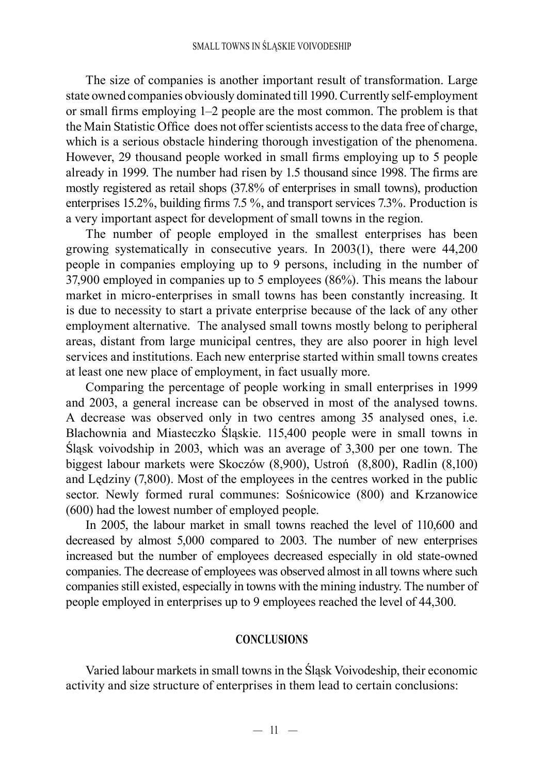The size of companies is another important result of transformation. Large state owned companies obviously dominated till 1990. Currently self-employment or small firms employing 1–2 people are the most common. The problem is that the Main Statistic Office does not offer scientists access to the data free of charge, which is a serious obstacle hindering thorough investigation of the phenomena. However, 29 thousand people worked in small firms employing up to 5 people already in 1999. The number had risen by 1.5 thousand since 1998. The firms are mostly registered as retail shops (37.8% of enterprises in small towns), production enterprises 15.2%, building firms 7.5 %, and transport services 7.3%. Production is a very important aspect for development of small towns in the region.

The number of people employed in the smallest enterprises has been growing systematically in consecutive years. In 2003(1), there were 44,200 people in companies employing up to 9 persons, including in the number of 37,900 employed in companies up to 5 employees (86%). This means the labour market in micro-enterprises in small towns has been constantly increasing. It is due to necessity to start a private enterprise because of the lack of any other employment alternative. The analysed small towns mostly belong to peripheral areas, distant from large municipal centres, they are also poorer in high level services and institutions. Each new enterprise started within small towns creates at least one new place of employment, in fact usually more.

Comparing the percentage of people working in small enterprises in 1999 and 2003, a general increase can be observed in most of the analysed towns. A decrease was observed only in two centres among 35 analysed ones, i.e. Blachownia and Miasteczko Śląskie. 115,400 people were in small towns in Śląsk voivodship in 2003, which was an average of 3,300 per one town. The biggest labour markets were Skoczów (8,900), Ustroń (8,800), Radlin (8,100) and Lędziny (7,800). Most of the employees in the centres worked in the public sector. Newly formed rural communes: Sośnicowice (800) and Krzanowice (600) had the lowest number of employed people.

In 2005, the labour market in small towns reached the level of 110,600 and decreased by almost 5,000 compared to 2003. The number of new enterprises increased but the number of employees decreased especially in old state-owned companies. The decrease of employees was observed almost in all towns where such companies still existed, especially in towns with the mining industry. The number of people employed in enterprises up to 9 employees reached the level of 44,300.

#### **CONCLUSIONS**

Varied labour markets in small towns in the Śląsk Voivodeship, their economic activity and size structure of enterprises in them lead to certain conclusions: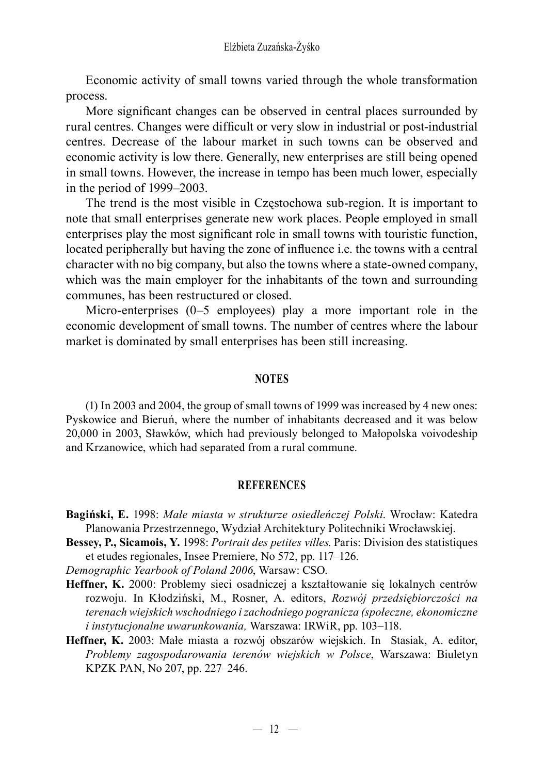Economic activity of small towns varied through the whole transformation process.

More significant changes can be observed in central places surrounded by rural centres. Changes were difficult or very slow in industrial or post-industrial centres. Decrease of the labour market in such towns can be observed and economic activity is low there. Generally, new enterprises are still being opened in small towns. However, the increase in tempo has been much lower, especially in the period of 1999–2003.

The trend is the most visible in Częstochowa sub-region. It is important to note that small enterprises generate new work places. People employed in small enterprises play the most significant role in small towns with touristic function, located peripherally but having the zone of influence i.e. the towns with a central character with no big company, but also the towns where a state-owned company, which was the main employer for the inhabitants of the town and surrounding communes, has been restructured or closed.

Micro-enterprises (0–5 employees) play a more important role in the economic development of small towns. The number of centres where the labour market is dominated by small enterprises has been still increasing.

#### **NOTES**

(1) In 2003 and 2004, the group of small towns of 1999 was increased by 4 new ones: Pyskowice and Bieruń, where the number of inhabitants decreased and it was below 20,000 in 2003, Sławków, which had previously belonged to Małopolska voivodeship and Krzanowice, which had separated from a rural commune.

#### **REFERENCES**

- **Bagiński, E.** 1998: *Małe miasta w strukturze osiedleńczej Polski*. Wrocław: Katedra Planowania Przestrzennego, Wydział Architektury Politechniki Wrocławskiej.
- **Bessey, P., Sicamois, Y.** 1998: *Portrait des petites villes*. Paris: Division des statistiques et etudes regionales, Insee Premiere, No 572, pp. 117–126.

*Demographic Yearbook of Poland 2006*, Warsaw: CSO.

- **Heffner, K.** 2000: Problemy sieci osadniczej a kształtowanie się lokalnych centrów rozwoju*.* In Kłodziński, M., Rosner, A. editors, *Rozwój przedsiębiorczości na terenach wiejskich wschodniego i zachodniego pogranicza (społeczne, ekonomiczne i instytucjonalne uwarunkowania,* Warszawa: IRWiR, pp. 103–118.
- **Heffner, K.** 2003: Małe miasta a rozwój obszarów wiejskich. In Stasiak, A. editor, *Problemy zagospodarowania terenów wiejskich w Polsce*, Warszawa: Biuletyn KPZK PAN, No 207, pp. 227–246.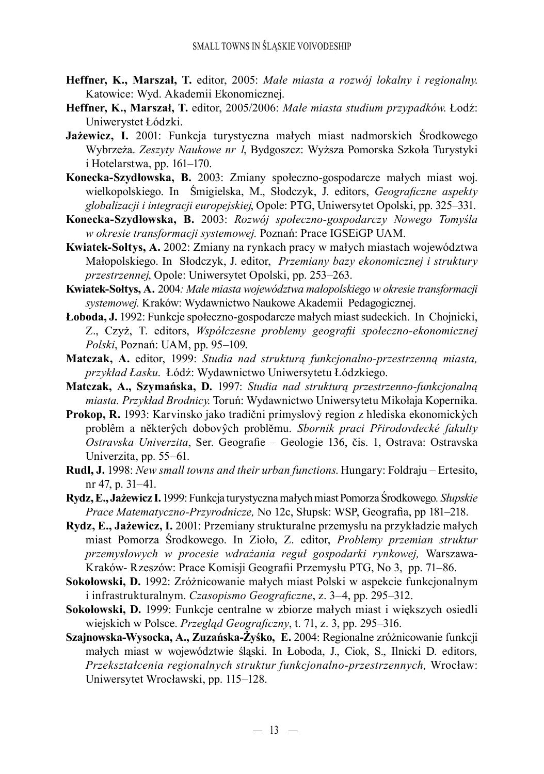- **Heffner, K., Marszał, T.** editor, 2005: *Małe miasta a rozwój lokalny i regionalny*. Katowice: Wyd. Akademii Ekonomicznej.
- **Heffner, K., Marszał, T.** editor, 2005/2006: *Małe miasta studium przypadków*. Łodź: Uniwerystet Łódzki.
- **Jażewicz, I.** 2001: Funkcja turystyczna małych miast nadmorskich Środkowego Wybrzeża. *Zeszyty Naukowe nr 1*, Bydgoszcz: Wyższa Pomorska Szkoła Turystyki i Hotelarstwa, pp. 161–170.
- **Konecka-Szydłowska, B.** 2003: Zmiany społeczno-gospodarcze małych miast woj. wielkopolskiego. In Śmigielska, M., Słodczyk, J. editors, *Geograficzne aspekty globalizacji i integracji europejskiej*, Opole: PTG, Uniwersytet Opolski, pp. 325–331.
- **Konecka-Szydłowska, B.** 2003: *Rozwój społeczno-gospodarczy Nowego Tomyśla w okresie transformacji systemowej.* Poznań: Prace IGSEiGP UAM.
- **Kwiatek-Sołtys, A.** 2002: Zmiany na rynkach pracy w małych miastach województwa Małopolskiego. In Słodczyk, J. editor, *Przemiany bazy ekonomicznej i struktury przestrzennej*, Opole: Uniwersytet Opolski, pp. 253–263.
- **Kwiatek-Sołtys, A***.* 2004*: Małe miasta województwa małopolskiego w okresie transformacji systemowej.* Kraków: Wydawnictwo Naukowe Akademii Pedagogicznej.
- **Łoboda, J.** 1992: Funkcje społeczno-gospodarcze małych miast sudeckich.In Chojnicki, Z., Czyż, T. editors, *Współczesne problemy geografii społeczno-ekonomicznej Polski*, Poznań: UAM, pp. 95–109.
- **Matczak, A.** editor, 1999: *Studia nad strukturą funkcjonalno-przestrzenną miasta, przykład Łasku*. Łódź: Wydawnictwo Uniwersytetu Łódzkiego.
- **Matczak, A., Szymańska, D.** 1997: *Studia nad strukturą przestrzenno-funkcjonalną miasta. Przykład Brodnicy*. Toruń: Wydawnictwo Uniwersytetu Mikołaja Kopernika.
- **Prokop, R.** 1993: Karvinsko jako tradični primyslovỳ region z hlediska ekonomickỳch problêm a nĕkterŷch dobovŷch problĕmu. *Sbornik praci Přirodovdecké fakulty Ostravska Univerzita*, Ser. Geografie – Geologie 136, čis. 1, Ostrava: Ostravska Univerzita, pp. 55–61.
- **Rudl, J.** 1998: *New small towns and their urban functions*. Hungary: Foldraju Ertesito, nr 47, p. 31–41.
- **Rydz, E., Jażewicz I.** 1999:Funkcja turystyczna małych miast Pomorza Środkowego*. Słupskie Prace Matematyczno-Przyrodnicze,* No 12c, Słupsk: WSP, Geografia, pp 181–218.
- **Rydz, E., Jażewicz, I.** 2001: Przemiany strukturalne przemysłu na przykładzie małych miast Pomorza Środkowego. In Zioło, Z. editor, *Problemy przemian struktur przemysłowych w procesie wdrażania reguł gospodarki rynkowej,* Warszawa-Kraków- Rzeszów: Prace Komisji Geografii Przemysłu PTG, No 3, pp. 71–86.
- **Sokołowski, D.** 1992: Zróżnicowanie małych miast Polski w aspekcie funkcjonalnym i infrastrukturalnym. *Czasopismo Geograficzne*, z. 3–4, pp. 295–312.
- **Sokołowski, D.** 1999: Funkcje centralne w zbiorze małych miast i większych osiedli wiejskich w Polsce. *Przegląd Geograficzny*, t. 71, z. 3, pp. 295–316.
- **Szajnowska-Wysocka, A., Zuzańska-Żyśko, E.** 2004: Regionalne zróżnicowanie funkcji małych miast w województwie śląski. In Łoboda, J., Ciok, S., Ilnicki D. editors*, Przekształcenia regionalnych struktur funkcjonalno-przestrzennych,* Wrocław: Uniwersytet Wrocławski, pp. 115–128.